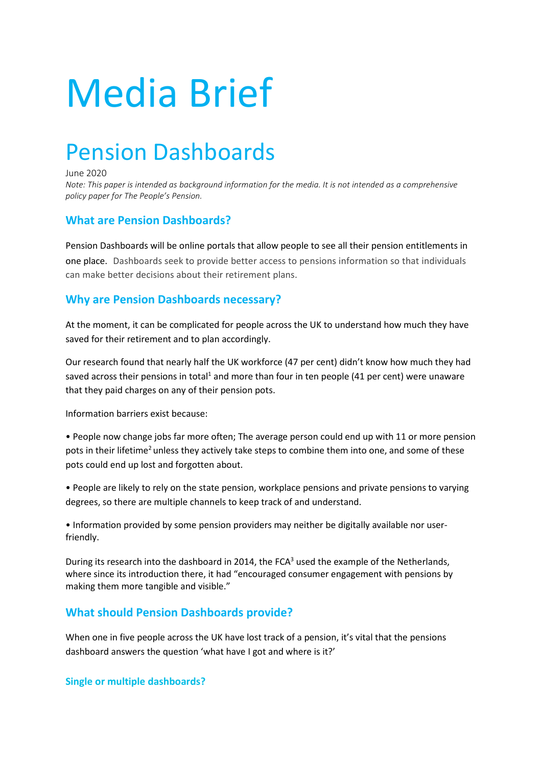# Media Brief

# Pension Dashboards

June 2020

*Note: This paper is intended as background information for the media. It is not intended as a comprehensive policy paper for The People's Pension.*

## **What are Pension Dashboards?**

Pension Dashboards will be online portals that allow people to see all their pension entitlements in one place. Dashboards seek to provide better access to pensions information so that individuals can make better decisions about their retirement plans.

# **Why are Pension Dashboards necessary?**

At the moment, it can be complicated for people across the UK to understand how much they have saved for their retirement and to plan accordingly.

Our research found that nearly half the UK workforce (47 per cent) didn't know how much they had saved across their pensions in total<sup>1</sup> and more than four in ten people (41 per cent) were unaware that they paid charges on any of their pension pots.

Information barriers exist because:

• People now change jobs far more often; The average person could end up with 11 or more pension pots in their lifetime<sup>2</sup> unless they actively take steps to combine them into one, and some of these pots could end up lost and forgotten about.

• People are likely to rely on the state pension, workplace pensions and private pensions to varying degrees, so there are multiple channels to keep track of and understand.

• Information provided by some pension providers may neither be digitally available nor userfriendly.

During its research into the dashboard in 2014, the FCA<sup>3</sup> used the example of the Netherlands, where since its introduction there, it had "encouraged consumer engagement with pensions by making them more tangible and visible."

### **What should Pension Dashboards provide?**

When one in five people across the UK have lost track of a pension, it's vital that the pensions dashboard answers the question 'what have I got and where is it?'

**Single or multiple dashboards?**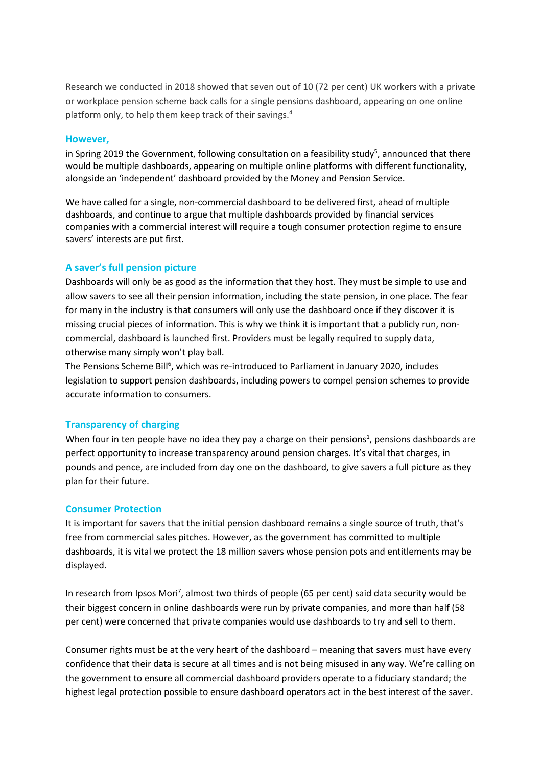Research we conducted in 2018 showed that seven out of 10 (72 per cent) UK workers with a private or workplace pension scheme back calls for a single pensions dashboard, appearing on one online platform only, to help them keep track of their savings.4

#### **However,**

in Spring 2019 the Government, following consultation on a feasibility study<sup>5</sup>, announced that there would be multiple dashboards, appearing on multiple online platforms with different functionality, alongside an 'independent' dashboard provided by the Money and Pension Service.

We have called for a single, non-commercial dashboard to be delivered first, ahead of multiple dashboards, and continue to argue that multiple dashboards provided by financial services companies with a commercial interest will require a tough consumer protection regime to ensure savers' interests are put first.

#### **A saver's full pension picture**

Dashboards will only be as good as the information that they host. They must be simple to use and allow savers to see all their pension information, including the state pension, in one place. The fear for many in the industry is that consumers will only use the dashboard once if they discover it is missing crucial pieces of information. This is why we think it is important that a publicly run, noncommercial, dashboard is launched first. Providers must be legally required to supply data, otherwise many simply won't play ball.

The Pensions Scheme Bill<sup>6</sup>, which was re-introduced to Parliament in January 2020, includes legislation to support pension dashboards, including powers to compel pension schemes to provide accurate information to consumers.

#### **Transparency of charging**

When four in ten people have no idea they pay a charge on their pensions<sup>1</sup>, pensions dashboards are perfect opportunity to increase transparency around pension charges. It's vital that charges, in pounds and pence, are included from day one on the dashboard, to give savers a full picture as they plan for their future.

#### **Consumer Protection**

It is important for savers that the initial pension dashboard remains a single source of truth, that's free from commercial sales pitches. However, as the government has committed to multiple dashboards, it is vital we protect the 18 million savers whose pension pots and entitlements may be displayed.

In research from Ipsos Mori<sup>7</sup>, almost two thirds of people (65 per cent) said data security would be their biggest concern in online dashboards were run by private companies, and more than half (58 per cent) were concerned that private companies would use dashboards to try and sell to them.

Consumer rights must be at the very heart of the dashboard – meaning that savers must have every confidence that their data is secure at all times and is not being misused in any way. We're calling on the government to ensure all commercial dashboard providers operate to a fiduciary standard; the highest legal protection possible to ensure dashboard operators act in the best interest of the saver.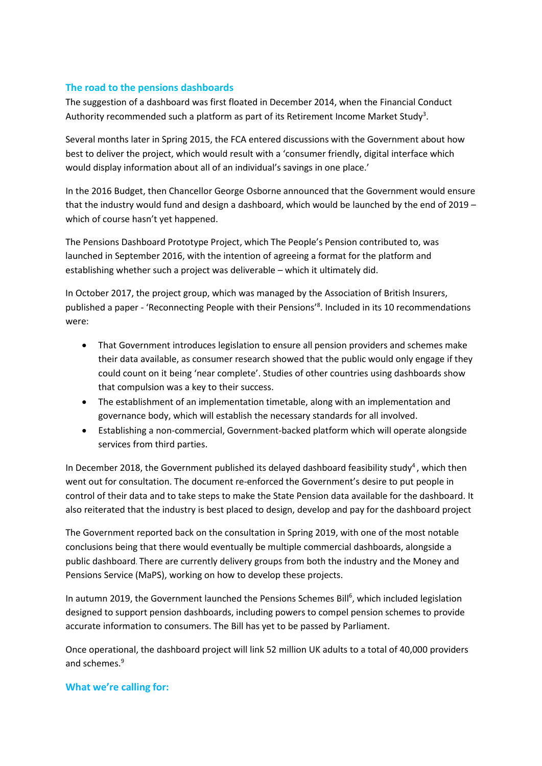#### **The road to the pensions dashboards**

The suggestion of a dashboard was first floated in December 2014, when the Financial Conduct Authority recommended such a platform as part of its Retirement Income Market Study<sup>3</sup>.

Several months later in Spring 2015, the FCA entered discussions with the Government about how best to deliver the project, which would result with a 'consumer friendly, digital interface which would display information about all of an individual's savings in one place.'

In the 2016 Budget, then Chancellor George Osborne announced that the Government would ensure that the industry would fund and design a dashboard, which would be launched by the end of 2019 – which of course hasn't yet happened.

The Pensions Dashboard Prototype Project, which The People's Pension contributed to, was launched in September 2016, with the intention of agreeing a format for the platform and establishing whether such a project was deliverable – which it ultimately did.

In October 2017, the project group, which was managed by the Association of British Insurers, published a paper - 'Reconnecting People with their Pensions'<sup>8</sup>. Included in its 10 recommendations were:

- That Government introduces legislation to ensure all pension providers and schemes make their data available, as consumer research showed that the public would only engage if they could count on it being 'near complete'. Studies of other countries using dashboards show that compulsion was a key to their success.
- The establishment of an implementation timetable, along with an implementation and governance body, which will establish the necessary standards for all involved.
- Establishing a non-commercial, Government-backed platform which will operate alongside services from third parties.

In December 2018, the Government published its delayed dashboard feasibility study<sup>4</sup>, which then went out for consultation. The document re-enforced the Government's desire to put people in control of their data and to take steps to make the State Pension data available for the dashboard. It also reiterated that the industry is best placed to design, develop and pay for the dashboard project

The Government reported back on the consultation in Spring 2019, with one of the most notable conclusions being that there would eventually be multiple commercial dashboards, alongside a public dashboard. There are currently delivery groups from both the industry and the Money and Pensions Service (MaPS), working on how to develop these projects.

In autumn 2019, the Government launched the Pensions Schemes Bill<sup>6</sup>, which included legislation designed to support pension dashboards, including powers to compel pension schemes to provide accurate information to consumers. The Bill has yet to be passed by Parliament.

Once operational, the dashboard project will link 52 million UK adults to a total of 40,000 providers and schemes.<sup>9</sup>

#### **What we're calling for:**